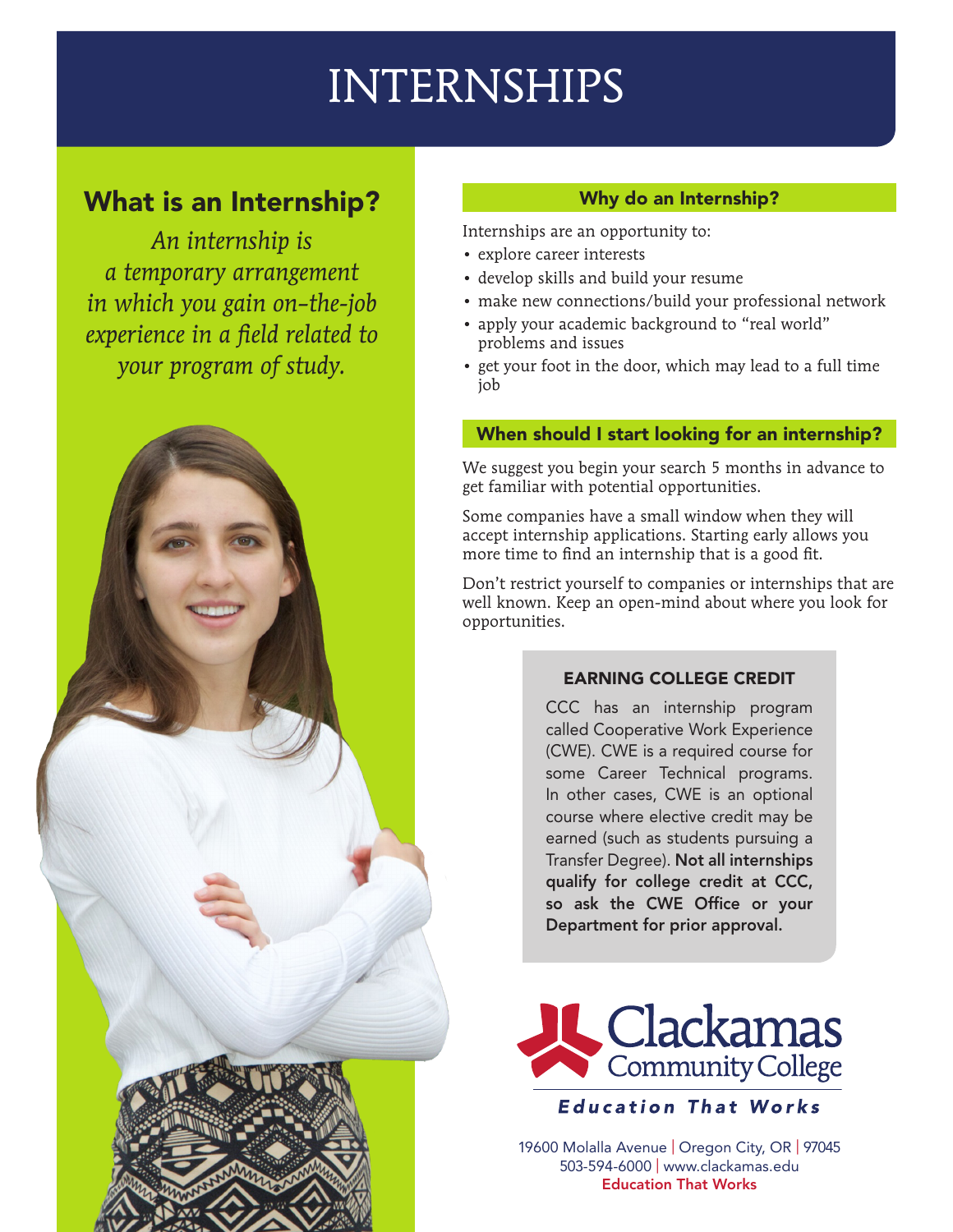# INTERNSHIPS

# What is an Internship?

*An internship is a temporary arrangement in which you gain on–the-job experience in a field related to your program of study.* 

# Why do an Internship?

Internships are an opportunity to:

- • explore career interests
- • develop skills and build your resume
- make new connections/build your professional network
- apply your academic background to "real world" problems and issues
- get your foot in the door, which may lead to a full time job

### When should I start looking for an internship?

We suggest you begin your search 5 months in advance to get familiar with potential opportunities.

Some companies have a small window when they will accept internship applications. Starting early allows you more time to find an internship that is a good fit.

Don't restrict yourself to companies or internships that are well known. Keep an open-mind about where you look for opportunities.

### EARNING COLLEGE CREDIT

CCC has an internship program called Cooperative Work Experience (CWE). CWE is a required course for some Career Technical programs. In other cases, CWE is an optional course where elective credit may be earned (such as students pursuing a Transfer Degree). Not all internships qualify for college credit at CCC, so ask the CWE Office or your Department for prior approval.



**Education That Works** 

19600 Molalla Avenue | Oregon City, OR | 97045 503-594-6000 | www.clackamas.edu Education That Works